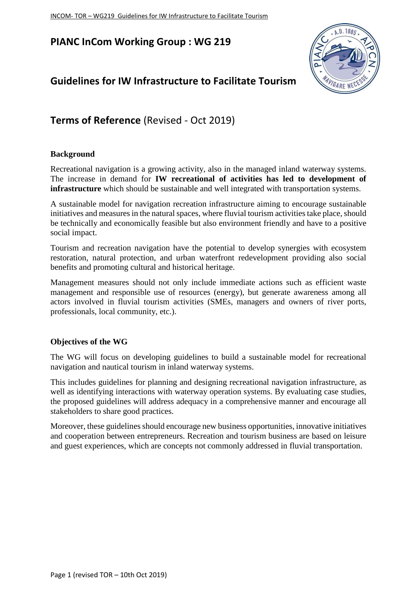## **PIANC InCom Working Group : WG 219**

# **Guidelines for IW Infrastructure to Facilitate Tourism**



# **Terms of Reference** (Revised - Oct 2019)

## **Background**

Recreational navigation is a growing activity, also in the managed inland waterway systems. The increase in demand for **IW recreational of activities has led to development of infrastructure** which should be sustainable and well integrated with transportation systems.

A sustainable model for navigation recreation infrastructure aiming to encourage sustainable initiatives and measures in the natural spaces, where fluvial tourism activities take place, should be technically and economically feasible but also environment friendly and have to a positive social impact.

Tourism and recreation navigation have the potential to develop synergies with ecosystem restoration, natural protection, and urban waterfront redevelopment providing also social benefits and promoting cultural and historical heritage.

Management measures should not only include immediate actions such as efficient waste management and responsible use of resources (energy), but generate awareness among all actors involved in fluvial tourism activities (SMEs, managers and owners of river ports, professionals, local community, etc.).

## **Objectives of the WG**

The WG will focus on developing guidelines to build a sustainable model for recreational navigation and nautical tourism in inland waterway systems.

This includes guidelines for planning and designing recreational navigation infrastructure, as well as identifying interactions with waterway operation systems. By evaluating case studies, the proposed guidelines will address adequacy in a comprehensive manner and encourage all stakeholders to share good practices.

Moreover, these guidelines should encourage new business opportunities, innovative initiatives and cooperation between entrepreneurs. Recreation and tourism business are based on leisure and guest experiences, which are concepts not commonly addressed in fluvial transportation.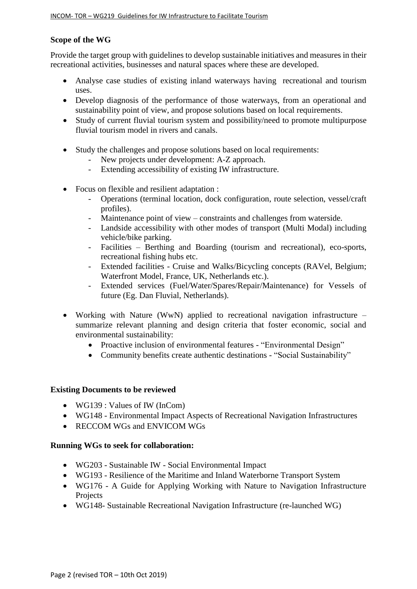#### **Scope of the WG**

Provide the target group with guidelines to develop sustainable initiatives and measures in their recreational activities, businesses and natural spaces where these are developed.

- Analyse case studies of existing inland waterways having recreational and tourism uses.
- Develop diagnosis of the performance of those waterways, from an operational and sustainability point of view, and propose solutions based on local requirements.
- Study of current fluvial tourism system and possibility/need to promote multipurpose fluvial tourism model in rivers and canals.
- Study the challenges and propose solutions based on local requirements:
	- New projects under development: A-Z approach.
	- Extending accessibility of existing IW infrastructure.
- Focus on flexible and resilient adaptation :
	- Operations (terminal location, dock configuration, route selection, vessel/craft profiles).
	- Maintenance point of view constraints and challenges from waterside.
	- Landside accessibility with other modes of transport (Multi Modal) including vehicle/bike parking.
	- Facilities Berthing and Boarding (tourism and recreational), eco-sports, recreational fishing hubs etc.
	- Extended facilities Cruise and Walks/Bicycling concepts (RAVel, Belgium; Waterfront Model, France, UK, Netherlands etc.).
	- Extended services (Fuel/Water/Spares/Repair/Maintenance) for Vessels of future (Eg. Dan Fluvial, Netherlands).
- Working with Nature (WwN) applied to recreational navigation infrastructure summarize relevant planning and design criteria that foster economic, social and environmental sustainability:
	- Proactive inclusion of environmental features "Environmental Design"
	- Community benefits create authentic destinations "Social Sustainability"

#### **Existing Documents to be reviewed**

- WG139 : Values of IW (InCom)
- WG148 Environmental Impact Aspects of Recreational Navigation Infrastructures
- RECCOM WGs and ENVICOM WGs

#### **Running WGs to seek for collaboration:**

- WG203 Sustainable IW Social Environmental Impact
- WG193 Resilience of the Maritime and Inland Waterborne Transport System
- WG176 A Guide for Applying Working with Nature to Navigation Infrastructure **Projects**
- WG148- Sustainable Recreational Navigation Infrastructure (re-launched WG)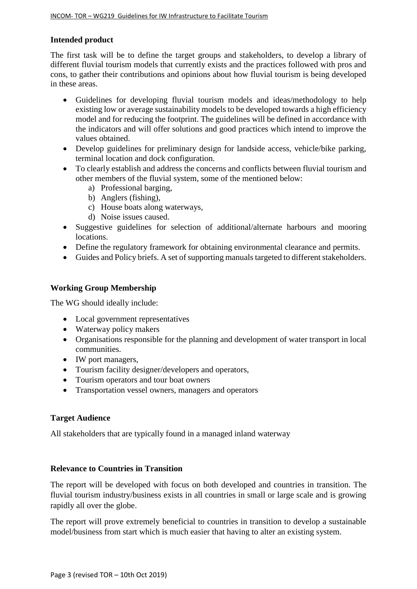### **Intended product**

The first task will be to define the target groups and stakeholders, to develop a library of different fluvial tourism models that currently exists and the practices followed with pros and cons, to gather their contributions and opinions about how fluvial tourism is being developed in these areas.

- Guidelines for developing fluvial tourism models and ideas/methodology to help existing low or average sustainability models to be developed towards a high efficiency model and for reducing the footprint. The guidelines will be defined in accordance with the indicators and will offer solutions and good practices which intend to improve the values obtained.
- Develop guidelines for preliminary design for landside access, vehicle/bike parking, terminal location and dock configuration.
- To clearly establish and address the concerns and conflicts between fluvial tourism and other members of the fluvial system, some of the mentioned below:
	- a) Professional barging,
	- b) Anglers (fishing),
	- c) House boats along waterways,
	- d) Noise issues caused.
- Suggestive guidelines for selection of additional/alternate harbours and mooring locations.
- Define the regulatory framework for obtaining environmental clearance and permits.
- Guides and Policy briefs. A set of supporting manuals targeted to different stakeholders.

## **Working Group Membership**

The WG should ideally include:

- Local government representatives
- Waterway policy makers
- Organisations responsible for the planning and development of water transport in local communities.
- IW port managers.
- Tourism facility designer/developers and operators,
- Tourism operators and tour boat owners
- Transportation vessel owners, managers and operators

## **Target Audience**

All stakeholders that are typically found in a managed inland waterway

## **Relevance to Countries in Transition**

The report will be developed with focus on both developed and countries in transition. The fluvial tourism industry/business exists in all countries in small or large scale and is growing rapidly all over the globe.

The report will prove extremely beneficial to countries in transition to develop a sustainable model/business from start which is much easier that having to alter an existing system.